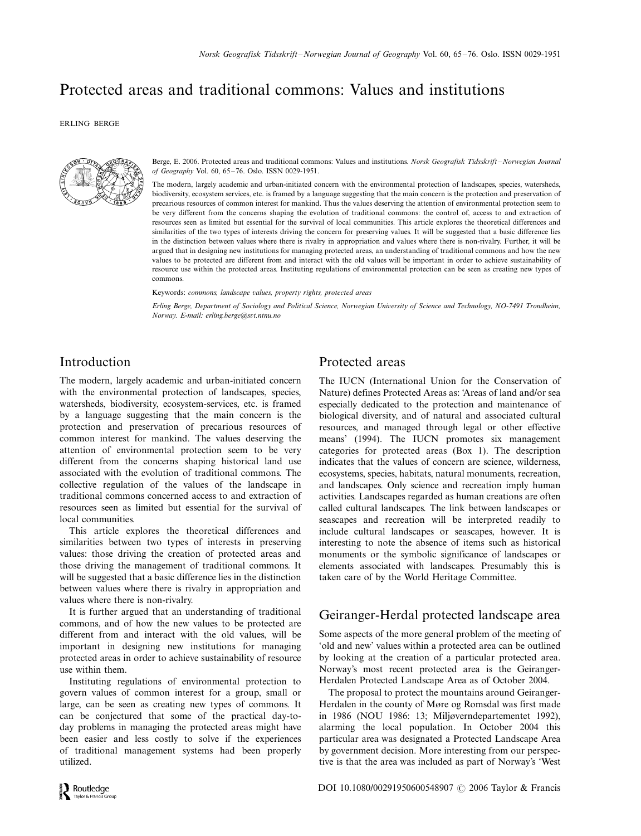# Protected areas and traditional commons: Values and institutions

ERLING BERGE



Berge, E. 2006. Protected areas and traditional commons: Values and institutions. Norsk Geografisk Tidsskrift-Norwegian Journal of Geography Vol. 60, 65-76. Oslo. ISSN 0029-1951.

The modern, largely academic and urban-initiated concern with the environmental protection of landscapes, species, watersheds, biodiversity, ecosystem services, etc. is framed by a language suggesting that the main concern is the protection and preservation of precarious resources of common interest for mankind. Thus the values deserving the attention of environmental protection seem to be very different from the concerns shaping the evolution of traditional commons: the control of, access to and extraction of resources seen as limited but essential for the survival of local communities. This article explores the theoretical differences and similarities of the two types of interests driving the concern for preserving values. It will be suggested that a basic difference lies in the distinction between values where there is rivalry in appropriation and values where there is non-rivalry. Further, it will be argued that in designing new institutions for managing protected areas, an understanding of traditional commons and how the new values to be protected are different from and interact with the old values will be important in order to achieve sustainability of resource use within the protected areas. Instituting regulations of environmental protection can be seen as creating new types of commons.

Keywords: commons, landscape values, property rights, protected areas

Erling Berge, Department of Sociology and Political Science, Norwegian University of Science and Technology, NO-7491 Trondheim, Norway. E-mail: erling.berge@svt.ntnu.no

# Introduction

The modern, largely academic and urban-initiated concern with the environmental protection of landscapes, species, watersheds, biodiversity, ecosystem-services, etc. is framed by a language suggesting that the main concern is the protection and preservation of precarious resources of common interest for mankind. The values deserving the attention of environmental protection seem to be very different from the concerns shaping historical land use associated with the evolution of traditional commons. The collective regulation of the values of the landscape in traditional commons concerned access to and extraction of resources seen as limited but essential for the survival of local communities.

This article explores the theoretical differences and similarities between two types of interests in preserving values: those driving the creation of protected areas and those driving the management of traditional commons. It will be suggested that a basic difference lies in the distinction between values where there is rivalry in appropriation and values where there is non-rivalry.

It is further argued that an understanding of traditional commons, and of how the new values to be protected are different from and interact with the old values, will be important in designing new institutions for managing protected areas in order to achieve sustainability of resource use within them.

Instituting regulations of environmental protection to govern values of common interest for a group, small or large, can be seen as creating new types of commons. It can be conjectured that some of the practical day-today problems in managing the protected areas might have been easier and less costly to solve if the experiences of traditional management systems had been properly utilized.

# Protected areas

The IUCN (International Union for the Conservation of Nature) defines Protected Areas as: 'Areas of land and/or sea especially dedicated to the protection and maintenance of biological diversity, and of natural and associated cultural resources, and managed through legal or other effective means' (1994). The IUCN promotes six management categories for protected areas (Box 1). The description indicates that the values of concern are science, wilderness, ecosystems, species, habitats, natural monuments, recreation, and landscapes. Only science and recreation imply human activities. Landscapes regarded as human creations are often called cultural landscapes. The link between landscapes or seascapes and recreation will be interpreted readily to include cultural landscapes or seascapes, however. It is interesting to note the absence of items such as historical monuments or the symbolic significance of landscapes or elements associated with landscapes. Presumably this is taken care of by the World Heritage Committee.

### Geiranger-Herdal protected landscape area

Some aspects of the more general problem of the meeting of 'old and new' values within a protected area can be outlined by looking at the creation of a particular protected area. Norway's most recent protected area is the Geiranger-Herdalen Protected Landscape Area as of October 2004.

The proposal to protect the mountains around Geiranger-Herdalen in the county of Møre og Romsdal was first made in 1986 (NOU 1986: 13; Miljøverndepartementet 1992), alarming the local population. In October 2004 this particular area was designated a Protected Landscape Area by government decision. More interesting from our perspective is that the area was included as part of Norway's 'West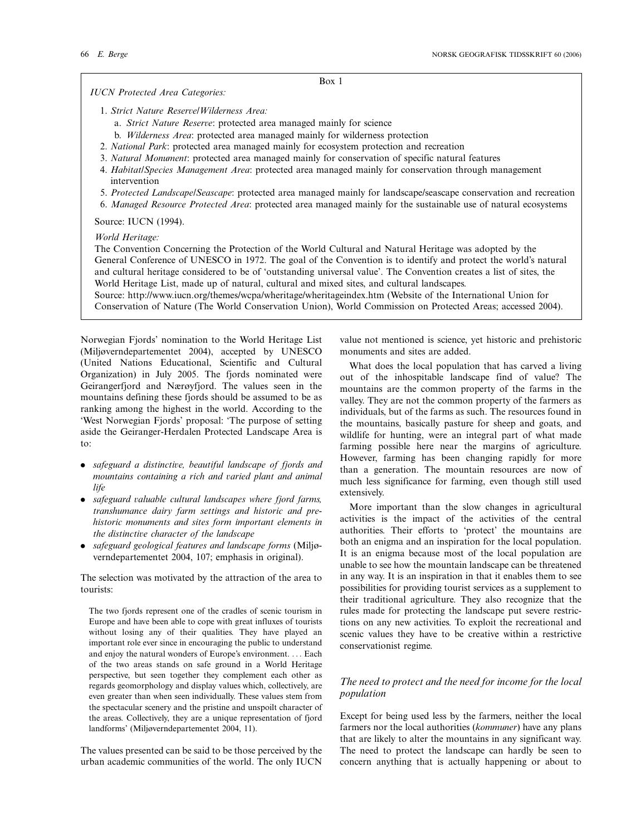#### IUCN Protected Area Categories:

Box 1

- 1. Strict Nature Reserve/Wilderness Area:
	- a. Strict Nature Reserve: protected area managed mainly for science
	- b. Wilderness Area: protected area managed mainly for wilderness protection
- 2. National Park: protected area managed mainly for ecosystem protection and recreation
- 3. Natural Monument: protected area managed mainly for conservation of specific natural features
- 4. Habitat/Species Management Area: protected area managed mainly for conservation through management intervention
- 5. Protected Landscape/Seascape: protected area managed mainly for landscape/seascape conservation and recreation
- 6. Managed Resource Protected Area: protected area managed mainly for the sustainable use of natural ecosystems

Source: IUCN (1994).

#### World Heritage:

The Convention Concerning the Protection of the World Cultural and Natural Heritage was adopted by the General Conference of UNESCO in 1972. The goal of the Convention is to identify and protect the world's natural and cultural heritage considered to be of 'outstanding universal value'. The Convention creates a list of sites, the World Heritage List, made up of natural, cultural and mixed sites, and cultural landscapes.

Source: http://www.iucn.org/themes/wcpa/wheritage/wheritageindex.htm (Website of the International Union for Conservation of Nature (The World Conservation Union), World Commission on Protected Areas; accessed 2004).

Norwegian Fjords' nomination to the World Heritage List (Miljøverndepartementet 2004), accepted by UNESCO (United Nations Educational, Scientific and Cultural Organization) in July 2005. The fjords nominated were Geirangerfjord and Nærøyfjord. The values seen in the mountains defining these fjords should be assumed to be as ranking among the highest in the world. According to the 'West Norwegian Fjords' proposal: 'The purpose of setting aside the Geiranger-Herdalen Protected Landscape Area is to:

- . safeguard a distinctive, beautiful landscape of fjords and mountains containing a rich and varied plant and animal life
- . safeguard valuable cultural landscapes where fjord farms, transhumance dairy farm settings and historic and prehistoric monuments and sites form important elements in the distinctive character of the landscape
- . safeguard geological features and landscape forms (Miljøverndepartementet 2004, 107; emphasis in original).

The selection was motivated by the attraction of the area to tourists:

The two fjords represent one of the cradles of scenic tourism in Europe and have been able to cope with great influxes of tourists without losing any of their qualities. They have played an important role ever since in encouraging the public to understand and enjoy the natural wonders of Europe's environment. ... Each of the two areas stands on safe ground in a World Heritage perspective, but seen together they complement each other as regards geomorphology and display values which, collectively, are even greater than when seen individually. These values stem from the spectacular scenery and the pristine and unspoilt character of the areas. Collectively, they are a unique representation of fjord landforms' (Miljøverndepartementet 2004, 11).

The values presented can be said to be those perceived by the urban academic communities of the world. The only IUCN value not mentioned is science, yet historic and prehistoric monuments and sites are added.

What does the local population that has carved a living out of the inhospitable landscape find of value? The mountains are the common property of the farms in the valley. They are not the common property of the farmers as individuals, but of the farms as such. The resources found in the mountains, basically pasture for sheep and goats, and wildlife for hunting, were an integral part of what made farming possible here near the margins of agriculture. However, farming has been changing rapidly for more than a generation. The mountain resources are now of much less significance for farming, even though still used extensively.

More important than the slow changes in agricultural activities is the impact of the activities of the central authorities. Their efforts to 'protect' the mountains are both an enigma and an inspiration for the local population. It is an enigma because most of the local population are unable to see how the mountain landscape can be threatened in any way. It is an inspiration in that it enables them to see possibilities for providing tourist services as a supplement to their traditional agriculture. They also recognize that the rules made for protecting the landscape put severe restrictions on any new activities. To exploit the recreational and scenic values they have to be creative within a restrictive conservationist regime.

#### The need to protect and the need for income for the local population

Except for being used less by the farmers, neither the local farmers nor the local authorities (kommuner) have any plans that are likely to alter the mountains in any significant way. The need to protect the landscape can hardly be seen to concern anything that is actually happening or about to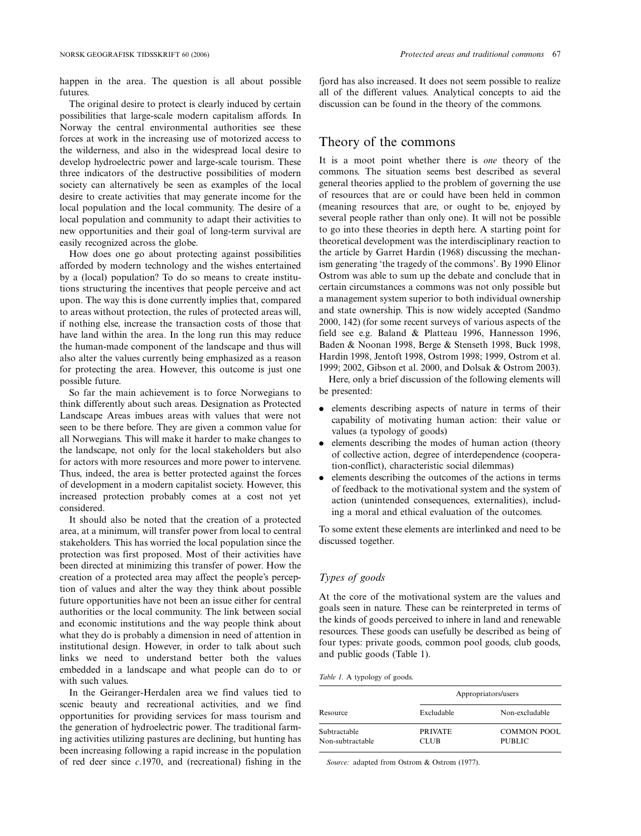happen in the area. The question is all about possible futures.

The original desire to protect is clearly induced by certain possibilities that large-scale modern capitalism affords. In Norway the central environmental authorities see these forces at work in the increasing use of motorized access to the wilderness, and also in the widespread local desire to develop hydroelectric power and large-scale tourism. These three indicators of the destructive possibilities of modern society can alternatively be seen as examples of the local desire to create activities that may generate income for the local population and the local community. The desire of a local population and community to adapt their activities to new opportunities and their goal of long-term survival are easily recognized across the globe.

How does one go about protecting against possibilities afforded by modern technology and the wishes entertained by a (local) population? To do so means to create institutions structuring the incentives that people perceive and act upon. The way this is done currently implies that, compared to areas without protection, the rules of protected areas will, if nothing else, increase the transaction costs of those that have land within the area. In the long run this may reduce the human-made component of the landscape and thus will also alter the values currently being emphasized as a reason for protecting the area. However, this outcome is just one possible future.

So far the main achievement is to force Norwegians to think differently about such areas. Designation as Protected Landscape Areas imbues areas with values that were not seen to be there before. They are given a common value for all Norwegians. This will make it harder to make changes to the landscape, not only for the local stakeholders but also for actors with more resources and more power to intervene. Thus, indeed, the area is better protected against the forces of development in a modern capitalist society. However, this increased protection probably comes at a cost not yet considered.

It should also be noted that the creation of a protected area, at a minimum, will transfer power from local to central stakeholders. This has worried the local population since the protection was first proposed. Most of their activities have been directed at minimizing this transfer of power. How the creation of a protected area may affect the people's perception of values and alter the way they think about possible future opportunities have not been an issue either for central authorities or the local community. The link between social and economic institutions and the way people think about what they do is probably a dimension in need of attention in institutional design. However, in order to talk about such links we need to understand better both the values embedded in a landscape and what people can do to or with such values.

In the Geiranger-Herdalen area we find values tied to scenic beauty and recreational activities, and we find opportunities for providing services for mass tourism and the generation of hydroelectric power. The traditional farming activities utilizing pastures are declining, but hunting has been increasing following a rapid increase in the population of red deer since  $c.1970$ , and (recreational) fishing in the

fjord has also increased. It does not seem possible to realize all of the different values. Analytical concepts to aid the discussion can be found in the theory of the commons.

### Theory of the commons

It is a moot point whether there is one theory of the commons. The situation seems best described as several general theories applied to the problem of governing the use of resources that are or could have been held in common (meaning resources that are, or ought to be, enjoyed by several people rather than only one). It will not be possible to go into these theories in depth here. A starting point for theoretical development was the interdisciplinary reaction to the article by Garret Hardin (1968) discussing the mechanism generating 'the tragedy of the commons'. By 1990 Elinor Ostrom was able to sum up the debate and conclude that in certain circumstances a commons was not only possible but a management system superior to both individual ownership and state ownership. This is now widely accepted (Sandmo 2000, 142) (for some recent surveys of various aspects of the field see e.g. Baland & Platteau 1996, Hannesson 1996, Baden & Noonan 1998, Berge & Stenseth 1998, Buck 1998, Hardin 1998, Jentoft 1998, Ostrom 1998; 1999, Ostrom et al. 1999; 2002, Gibson et al. 2000, and Dolsak & Ostrom 2003).

Here, only a brief discussion of the following elements will be presented:

- . elements describing aspects of nature in terms of their capability of motivating human action: their value or values (a typology of goods)
- . elements describing the modes of human action (theory of collective action, degree of interdependence (cooperation-conflict), characteristic social dilemmas)
- . elements describing the outcomes of the actions in terms of feedback to the motivational system and the system of action (unintended consequences, externalities), including a moral and ethical evaluation of the outcomes.

To some extent these elements are interlinked and need to be discussed together.

#### Types of goods

At the core of the motivational system are the values and goals seen in nature. These can be reinterpreted in terms of the kinds of goods perceived to inhere in land and renewable resources. These goods can usefully be described as being of four types: private goods, common pool goods, club goods, and public goods (Table 1).

Table 1. A typology of goods.

|                                  | Appropriators/users           |                                     |  |
|----------------------------------|-------------------------------|-------------------------------------|--|
| Resource                         | Excludable                    | Non-excludable                      |  |
| Subtractable<br>Non-subtractable | <b>PRIVATE</b><br><b>CLUB</b> | <b>COMMON POOL</b><br><b>PUBLIC</b> |  |

Source: adapted from Ostrom & Ostrom (1977).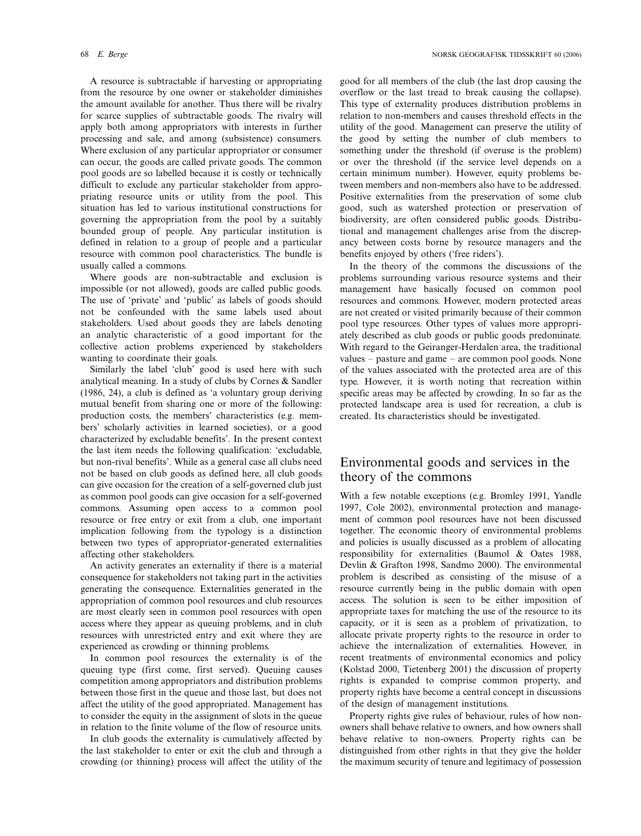A resource is subtractable if harvesting or appropriating from the resource by one owner or stakeholder diminishes the amount available for another. Thus there will be rivalry for scarce supplies of subtractable goods. The rivalry will apply both among appropriators with interests in further processing and sale, and among (subsistence) consumers. Where exclusion of any particular appropriator or consumer can occur, the goods are called private goods. The common pool goods are so labelled because it is costly or technically difficult to exclude any particular stakeholder from appropriating resource units or utility from the pool. This situation has led to various institutional constructions for governing the appropriation from the pool by a suitably bounded group of people. Any particular institution is defined in relation to a group of people and a particular resource with common pool characteristics. The bundle is usually called a commons.

Where goods are non-subtractable and exclusion is impossible (or not allowed), goods are called public goods. The use of 'private' and 'public' as labels of goods should not be confounded with the same labels used about stakeholders. Used about goods they are labels denoting an analytic characteristic of a good important for the collective action problems experienced by stakeholders wanting to coordinate their goals.

Similarly the label 'club' good is used here with such analytical meaning. In a study of clubs by Cornes & Sandler (1986, 24), a club is defined as 'a voluntary group deriving mutual benefit from sharing one or more of the following: production costs, the members' characteristics (e.g. members' scholarly activities in learned societies), or a good characterized by excludable benefits'. In the present context the last item needs the following qualification: 'excludable, but non-rival benefits'. While as a general case all clubs need not be based on club goods as defined here, all club goods can give occasion for the creation of a self-governed club just as common pool goods can give occasion for a self-governed commons. Assuming open access to a common pool resource or free entry or exit from a club, one important implication following from the typology is a distinction between two types of appropriator-generated externalities affecting other stakeholders.

An activity generates an externality if there is a material consequence for stakeholders not taking part in the activities generating the consequence. Externalities generated in the appropriation of common pool resources and club resources are most clearly seen in common pool resources with open access where they appear as queuing problems, and in club resources with unrestricted entry and exit where they are experienced as crowding or thinning problems.

In common pool resources the externality is of the queuing type (first come, first served). Queuing causes competition among appropriators and distribution problems between those first in the queue and those last, but does not affect the utility of the good appropriated. Management has to consider the equity in the assignment of slots in the queue in relation to the finite volume of the flow of resource units.

In club goods the externality is cumulatively affected by the last stakeholder to enter or exit the club and through a crowding (or thinning) process will affect the utility of the good for all members of the club (the last drop causing the overflow or the last tread to break causing the collapse). This type of externality produces distribution problems in relation to non-members and causes threshold effects in the utility of the good. Management can preserve the utility of the good by setting the number of club members to something under the threshold (if overuse is the problem) or over the threshold (if the service level depends on a certain minimum number). However, equity problems between members and non-members also have to be addressed. Positive externalities from the preservation of some club good, such as watershed protection or preservation of biodiversity, are often considered public goods. Distributional and management challenges arise from the discrepancy between costs borne by resource managers and the benefits enjoyed by others ('free riders').

In the theory of the commons the discussions of the problems surrounding various resource systems and their management have basically focused on common pool resources and commons. However, modern protected areas are not created or visited primarily because of their common pool type resources. Other types of values more appropriately described as club goods or public goods predominate. With regard to the Geiranger-Herdalen area, the traditional values  $-$  pasture and game  $-$  are common pool goods. None of the values associated with the protected area are of this type. However, it is worth noting that recreation within specific areas may be affected by crowding. In so far as the protected landscape area is used for recreation, a club is created. Its characteristics should be investigated.

### Environmental goods and services in the theory of the commons

With a few notable exceptions (e.g. Bromley 1991, Yandle 1997, Cole 2002), environmental protection and management of common pool resources have not been discussed together. The economic theory of environmental problems and policies is usually discussed as a problem of allocating responsibility for externalities (Baumol & Oates 1988, Devlin & Grafton 1998, Sandmo 2000). The environmental problem is described as consisting of the misuse of a resource currently being in the public domain with open access. The solution is seen to be either imposition of appropriate taxes for matching the use of the resource to its capacity, or it is seen as a problem of privatization, to allocate private property rights to the resource in order to achieve the internalization of externalities. However, in recent treatments of environmental economics and policy (Kolstad 2000, Tietenberg 2001) the discussion of property rights is expanded to comprise common property, and property rights have become a central concept in discussions of the design of management institutions.

Property rights give rules of behaviour, rules of how nonowners shall behave relative to owners, and how owners shall behave relative to non-owners. Property rights can be distinguished from other rights in that they give the holder the maximum security of tenure and legitimacy of possession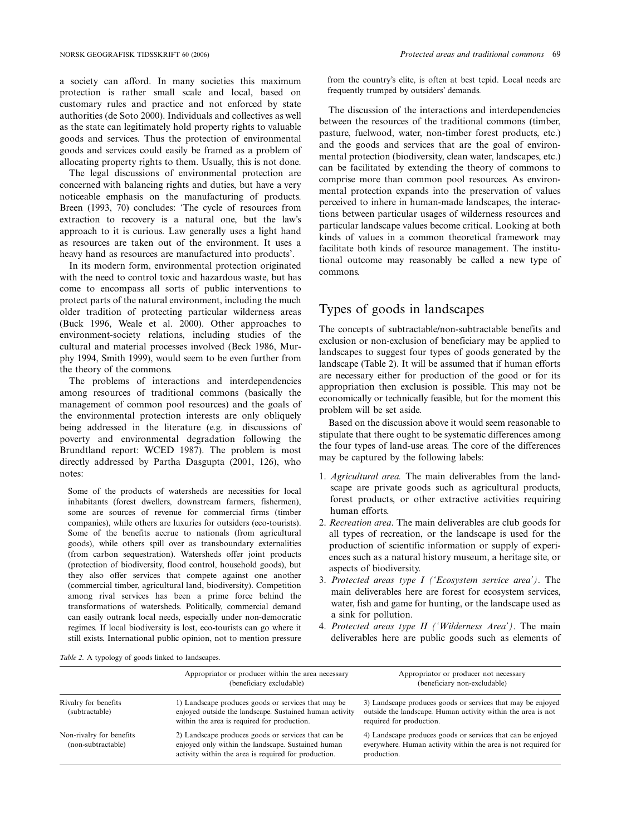a society can afford. In many societies this maximum protection is rather small scale and local, based on customary rules and practice and not enforced by state authorities (de Soto 2000). Individuals and collectives as well as the state can legitimately hold property rights to valuable goods and services. Thus the protection of environmental goods and services could easily be framed as a problem of allocating property rights to them. Usually, this is not done.

The legal discussions of environmental protection are concerned with balancing rights and duties, but have a very noticeable emphasis on the manufacturing of products. Breen (1993, 70) concludes: 'The cycle of resources from extraction to recovery is a natural one, but the law's approach to it is curious. Law generally uses a light hand as resources are taken out of the environment. It uses a heavy hand as resources are manufactured into products'.

In its modern form, environmental protection originated with the need to control toxic and hazardous waste, but has come to encompass all sorts of public interventions to protect parts of the natural environment, including the much older tradition of protecting particular wilderness areas (Buck 1996, Weale et al. 2000). Other approaches to environment-society relations, including studies of the cultural and material processes involved (Beck 1986, Murphy 1994, Smith 1999), would seem to be even further from the theory of the commons.

The problems of interactions and interdependencies among resources of traditional commons (basically the management of common pool resources) and the goals of the environmental protection interests are only obliquely being addressed in the literature (e.g. in discussions of poverty and environmental degradation following the Brundtland report: WCED 1987). The problem is most directly addressed by Partha Dasgupta (2001, 126), who notes:

Some of the products of watersheds are necessities for local inhabitants (forest dwellers, downstream farmers, fishermen), some are sources of revenue for commercial firms (timber companies), while others are luxuries for outsiders (eco-tourists). Some of the benefits accrue to nationals (from agricultural goods), while others spill over as transboundary externalities (from carbon sequestration). Watersheds offer joint products (protection of biodiversity, flood control, household goods), but they also offer services that compete against one another (commercial timber, agricultural land, biodiversity). Competition among rival services has been a prime force behind the transformations of watersheds. Politically, commercial demand can easily outrank local needs, especially under non-democratic regimes. If local biodiversity is lost, eco-tourists can go where it still exists. International public opinion, not to mention pressure

from the country's elite, is often at best tepid. Local needs are frequently trumped by outsiders' demands.

The discussion of the interactions and interdependencies between the resources of the traditional commons (timber, pasture, fuelwood, water, non-timber forest products, etc.) and the goods and services that are the goal of environmental protection (biodiversity, clean water, landscapes, etc.) can be facilitated by extending the theory of commons to comprise more than common pool resources. As environmental protection expands into the preservation of values perceived to inhere in human-made landscapes, the interactions between particular usages of wilderness resources and particular landscape values become critical. Looking at both kinds of values in a common theoretical framework may facilitate both kinds of resource management. The institutional outcome may reasonably be called a new type of commons.

# Types of goods in landscapes

The concepts of subtractable/non-subtractable benefits and exclusion or non-exclusion of beneficiary may be applied to landscapes to suggest four types of goods generated by the landscape (Table 2). It will be assumed that if human efforts are necessary either for production of the good or for its appropriation then exclusion is possible. This may not be economically or technically feasible, but for the moment this problem will be set aside.

Based on the discussion above it would seem reasonable to stipulate that there ought to be systematic differences among the four types of land-use areas. The core of the differences may be captured by the following labels:

- 1. Agricultural area. The main deliverables from the landscape are private goods such as agricultural products, forest products, or other extractive activities requiring human efforts.
- 2. Recreation area. The main deliverables are club goods for all types of recreation, or the landscape is used for the production of scientific information or supply of experiences such as a natural history museum, a heritage site, or aspects of biodiversity.
- 3. Protected areas type  $I$  ('Ecosystem service area'). The main deliverables here are forest for ecosystem services, water, fish and game for hunting, or the landscape used as a sink for pollution.
- 4. Protected areas type II ('Wilderness Area'). The main deliverables here are public goods such as elements of

Table 2. A typology of goods linked to landscapes.

|                                                | Appropriator or producer within the area necessary<br>(beneficiary excludable)                                                                                    | Appropriator or producer not necessary<br>(beneficiary non-excludable)                                                                                  |
|------------------------------------------------|-------------------------------------------------------------------------------------------------------------------------------------------------------------------|---------------------------------------------------------------------------------------------------------------------------------------------------------|
| Rivalry for benefits<br>(subtractable)         | 1) Landscape produces goods or services that may be<br>enjoyed outside the landscape. Sustained human activity<br>within the area is required for production.     | 3) Landscape produces goods or services that may be enjoyed<br>outside the landscape. Human activity within the area is not<br>required for production. |
| Non-rivalry for benefits<br>(non-subtractable) | 2) Landscape produces goods or services that can be<br>enjoyed only within the landscape. Sustained human<br>activity within the area is required for production. | 4) Landscape produces goods or services that can be enjoyed<br>everywhere. Human activity within the area is not required for<br>production.            |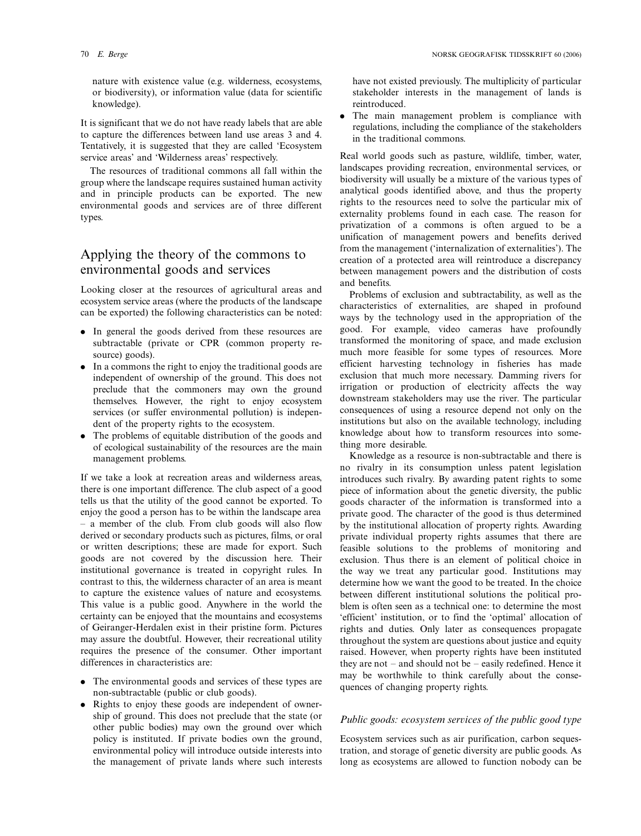nature with existence value (e.g. wilderness, ecosystems, or biodiversity), or information value (data for scientific knowledge).

It is significant that we do not have ready labels that are able to capture the differences between land use areas 3 and 4. Tentatively, it is suggested that they are called 'Ecosystem service areas' and 'Wilderness areas' respectively.

The resources of traditional commons all fall within the group where the landscape requires sustained human activity and in principle products can be exported. The new environmental goods and services are of three different types.

# Applying the theory of the commons to environmental goods and services

Looking closer at the resources of agricultural areas and ecosystem service areas (where the products of the landscape can be exported) the following characteristics can be noted:

- . In general the goods derived from these resources are subtractable (private or CPR (common property resource) goods).
- . In a commons the right to enjoy the traditional goods are independent of ownership of the ground. This does not preclude that the commoners may own the ground themselves. However, the right to enjoy ecosystem services (or suffer environmental pollution) is independent of the property rights to the ecosystem.
- . The problems of equitable distribution of the goods and of ecological sustainability of the resources are the main management problems.

If we take a look at recreation areas and wilderness areas, there is one important difference. The club aspect of a good tells us that the utility of the good cannot be exported. To enjoy the good a person has to be within the landscape area - a member of the club. From club goods will also flow derived or secondary products such as pictures, films, or oral or written descriptions; these are made for export. Such goods are not covered by the discussion here. Their institutional governance is treated in copyright rules. In contrast to this, the wilderness character of an area is meant to capture the existence values of nature and ecosystems. This value is a public good. Anywhere in the world the certainty can be enjoyed that the mountains and ecosystems of Geiranger-Herdalen exist in their pristine form. Pictures may assure the doubtful. However, their recreational utility requires the presence of the consumer. Other important differences in characteristics are:

- . The environmental goods and services of these types are non-subtractable (public or club goods).
- . Rights to enjoy these goods are independent of ownership of ground. This does not preclude that the state (or other public bodies) may own the ground over which policy is instituted. If private bodies own the ground, environmental policy will introduce outside interests into the management of private lands where such interests

have not existed previously. The multiplicity of particular stakeholder interests in the management of lands is reintroduced.

. The main management problem is compliance with regulations, including the compliance of the stakeholders in the traditional commons.

Real world goods such as pasture, wildlife, timber, water, landscapes providing recreation, environmental services, or biodiversity will usually be a mixture of the various types of analytical goods identified above, and thus the property rights to the resources need to solve the particular mix of externality problems found in each case. The reason for privatization of a commons is often argued to be a unification of management powers and benefits derived from the management ('internalization of externalities'). The creation of a protected area will reintroduce a discrepancy between management powers and the distribution of costs and benefits.

Problems of exclusion and subtractability, as well as the characteristics of externalities, are shaped in profound ways by the technology used in the appropriation of the good. For example, video cameras have profoundly transformed the monitoring of space, and made exclusion much more feasible for some types of resources. More efficient harvesting technology in fisheries has made exclusion that much more necessary. Damming rivers for irrigation or production of electricity affects the way downstream stakeholders may use the river. The particular consequences of using a resource depend not only on the institutions but also on the available technology, including knowledge about how to transform resources into something more desirable.

Knowledge as a resource is non-subtractable and there is no rivalry in its consumption unless patent legislation introduces such rivalry. By awarding patent rights to some piece of information about the genetic diversity, the public goods character of the information is transformed into a private good. The character of the good is thus determined by the institutional allocation of property rights. Awarding private individual property rights assumes that there are feasible solutions to the problems of monitoring and exclusion. Thus there is an element of political choice in the way we treat any particular good. Institutions may determine how we want the good to be treated. In the choice between different institutional solutions the political problem is often seen as a technical one: to determine the most 'efficient' institution, or to find the 'optimal' allocation of rights and duties. Only later as consequences propagate throughout the system are questions about justice and equity raised. However, when property rights have been instituted they are not  $-$  and should not be  $-$  easily redefined. Hence it may be worthwhile to think carefully about the consequences of changing property rights.

#### Public goods: ecosystem services of the public good type

Ecosystem services such as air purification, carbon sequestration, and storage of genetic diversity are public goods. As long as ecosystems are allowed to function nobody can be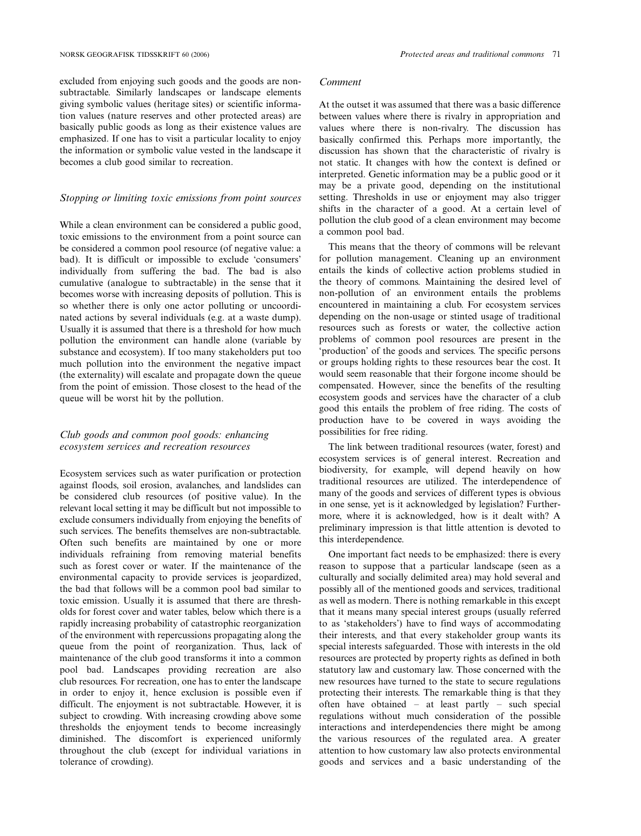excluded from enjoying such goods and the goods are nonsubtractable. Similarly landscapes or landscape elements giving symbolic values (heritage sites) or scientific information values (nature reserves and other protected areas) are basically public goods as long as their existence values are emphasized. If one has to visit a particular locality to enjoy the information or symbolic value vested in the landscape it becomes a club good similar to recreation.

#### Stopping or limiting toxic emissions from point sources

While a clean environment can be considered a public good, toxic emissions to the environment from a point source can be considered a common pool resource (of negative value: a bad). It is difficult or impossible to exclude 'consumers' individually from suffering the bad. The bad is also cumulative (analogue to subtractable) in the sense that it becomes worse with increasing deposits of pollution. This is so whether there is only one actor polluting or uncoordinated actions by several individuals (e.g. at a waste dump). Usually it is assumed that there is a threshold for how much pollution the environment can handle alone (variable by substance and ecosystem). If too many stakeholders put too much pollution into the environment the negative impact (the externality) will escalate and propagate down the queue from the point of emission. Those closest to the head of the queue will be worst hit by the pollution.

#### Club goods and common pool goods: enhancing ecosystem services and recreation resources

Ecosystem services such as water purification or protection against floods, soil erosion, avalanches, and landslides can be considered club resources (of positive value). In the relevant local setting it may be difficult but not impossible to exclude consumers individually from enjoying the benefits of such services. The benefits themselves are non-subtractable. Often such benefits are maintained by one or more individuals refraining from removing material benefits such as forest cover or water. If the maintenance of the environmental capacity to provide services is jeopardized, the bad that follows will be a common pool bad similar to toxic emission. Usually it is assumed that there are thresholds for forest cover and water tables, below which there is a rapidly increasing probability of catastrophic reorganization of the environment with repercussions propagating along the queue from the point of reorganization. Thus, lack of maintenance of the club good transforms it into a common pool bad. Landscapes providing recreation are also club resources. For recreation, one has to enter the landscape in order to enjoy it, hence exclusion is possible even if difficult. The enjoyment is not subtractable. However, it is subject to crowding. With increasing crowding above some thresholds the enjoyment tends to become increasingly diminished. The discomfort is experienced uniformly throughout the club (except for individual variations in tolerance of crowding).

#### Comment

At the outset it was assumed that there was a basic difference between values where there is rivalry in appropriation and values where there is non-rivalry. The discussion has basically confirmed this. Perhaps more importantly, the discussion has shown that the characteristic of rivalry is not static. It changes with how the context is defined or interpreted. Genetic information may be a public good or it may be a private good, depending on the institutional setting. Thresholds in use or enjoyment may also trigger shifts in the character of a good. At a certain level of pollution the club good of a clean environment may become a common pool bad.

This means that the theory of commons will be relevant for pollution management. Cleaning up an environment entails the kinds of collective action problems studied in the theory of commons. Maintaining the desired level of non-pollution of an environment entails the problems encountered in maintaining a club. For ecosystem services depending on the non-usage or stinted usage of traditional resources such as forests or water, the collective action problems of common pool resources are present in the 'production' of the goods and services. The specific persons or groups holding rights to these resources bear the cost. It would seem reasonable that their forgone income should be compensated. However, since the benefits of the resulting ecosystem goods and services have the character of a club good this entails the problem of free riding. The costs of production have to be covered in ways avoiding the possibilities for free riding.

The link between traditional resources (water, forest) and ecosystem services is of general interest. Recreation and biodiversity, for example, will depend heavily on how traditional resources are utilized. The interdependence of many of the goods and services of different types is obvious in one sense, yet is it acknowledged by legislation? Furthermore, where it is acknowledged, how is it dealt with? A preliminary impression is that little attention is devoted to this interdependence.

One important fact needs to be emphasized: there is every reason to suppose that a particular landscape (seen as a culturally and socially delimited area) may hold several and possibly all of the mentioned goods and services, traditional as well as modern. There is nothing remarkable in this except that it means many special interest groups (usually referred to as 'stakeholders') have to find ways of accommodating their interests, and that every stakeholder group wants its special interests safeguarded. Those with interests in the old resources are protected by property rights as defined in both statutory law and customary law. Those concerned with the new resources have turned to the state to secure regulations protecting their interests. The remarkable thing is that they often have obtained  $-$  at least partly  $-$  such special regulations without much consideration of the possible interactions and interdependencies there might be among the various resources of the regulated area. A greater attention to how customary law also protects environmental goods and services and a basic understanding of the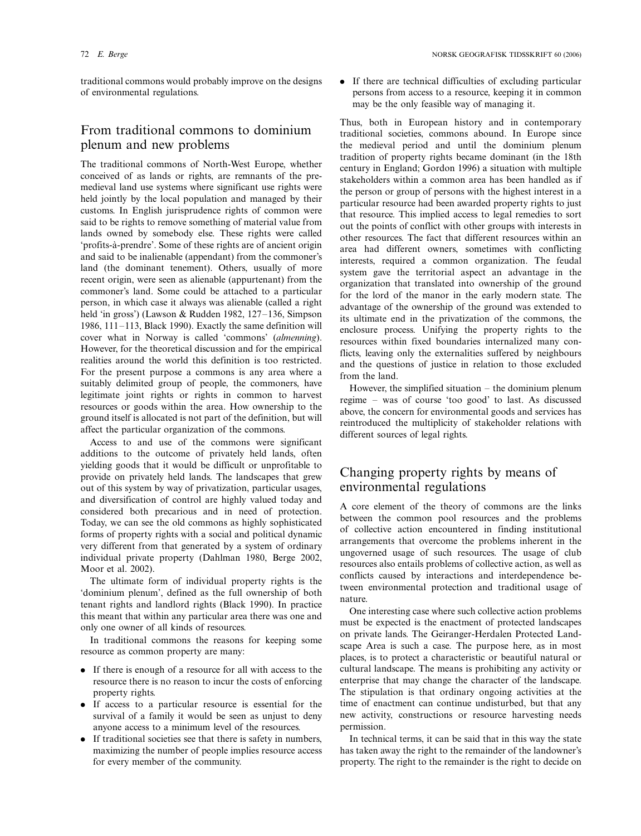of environmental regulations.

# From traditional commons to dominium plenum and new problems

The traditional commons of North-West Europe, whether conceived of as lands or rights, are remnants of the premedieval land use systems where significant use rights were held jointly by the local population and managed by their customs. In English jurisprudence rights of common were said to be rights to remove something of material value from lands owned by somebody else. These rights were called 'profits-a`-prendre'. Some of these rights are of ancient origin and said to be inalienable (appendant) from the commoner's land (the dominant tenement). Others, usually of more recent origin, were seen as alienable (appurtenant) from the commoner's land. Some could be attached to a particular person, in which case it always was alienable (called a right held 'in gross') (Lawson & Rudden 1982, 127-136, Simpson 1986,  $111-113$ , Black 1990). Exactly the same definition will cover what in Norway is called 'commons' (almenning). However, for the theoretical discussion and for the empirical realities around the world this definition is too restricted. For the present purpose a commons is any area where a suitably delimited group of people, the commoners, have legitimate joint rights or rights in common to harvest resources or goods within the area. How ownership to the ground itself is allocated is not part of the definition, but will affect the particular organization of the commons.

Access to and use of the commons were significant additions to the outcome of privately held lands, often yielding goods that it would be difficult or unprofitable to provide on privately held lands. The landscapes that grew out of this system by way of privatization, particular usages, and diversification of control are highly valued today and considered both precarious and in need of protection. Today, we can see the old commons as highly sophisticated forms of property rights with a social and political dynamic very different from that generated by a system of ordinary individual private property (Dahlman 1980, Berge 2002, Moor et al. 2002).

The ultimate form of individual property rights is the 'dominium plenum', defined as the full ownership of both tenant rights and landlord rights (Black 1990). In practice this meant that within any particular area there was one and only one owner of all kinds of resources.

In traditional commons the reasons for keeping some resource as common property are many:

- . If there is enough of a resource for all with access to the resource there is no reason to incur the costs of enforcing property rights.
- . If access to a particular resource is essential for the survival of a family it would be seen as unjust to deny anyone access to a minimum level of the resources.
- . If traditional societies see that there is safety in numbers, maximizing the number of people implies resource access for every member of the community.

. If there are technical difficulties of excluding particular persons from access to a resource, keeping it in common may be the only feasible way of managing it.

Thus, both in European history and in contemporary traditional societies, commons abound. In Europe since the medieval period and until the dominium plenum tradition of property rights became dominant (in the 18th century in England; Gordon 1996) a situation with multiple stakeholders within a common area has been handled as if the person or group of persons with the highest interest in a particular resource had been awarded property rights to just that resource. This implied access to legal remedies to sort out the points of conflict with other groups with interests in other resources. The fact that different resources within an area had different owners, sometimes with conflicting interests, required a common organization. The feudal system gave the territorial aspect an advantage in the organization that translated into ownership of the ground for the lord of the manor in the early modern state. The advantage of the ownership of the ground was extended to its ultimate end in the privatization of the commons, the enclosure process. Unifying the property rights to the resources within fixed boundaries internalized many conflicts, leaving only the externalities suffered by neighbours and the questions of justice in relation to those excluded from the land.

However, the simplified situation  $-$  the dominium plenum regime  $-$  was of course 'too good' to last. As discussed above, the concern for environmental goods and services has reintroduced the multiplicity of stakeholder relations with different sources of legal rights.

# Changing property rights by means of environmental regulations

A core element of the theory of commons are the links between the common pool resources and the problems of collective action encountered in finding institutional arrangements that overcome the problems inherent in the ungoverned usage of such resources. The usage of club resources also entails problems of collective action, as well as conflicts caused by interactions and interdependence between environmental protection and traditional usage of nature.

One interesting case where such collective action problems must be expected is the enactment of protected landscapes on private lands. The Geiranger-Herdalen Protected Landscape Area is such a case. The purpose here, as in most places, is to protect a characteristic or beautiful natural or cultural landscape. The means is prohibiting any activity or enterprise that may change the character of the landscape. The stipulation is that ordinary ongoing activities at the time of enactment can continue undisturbed, but that any new activity, constructions or resource harvesting needs permission.

In technical terms, it can be said that in this way the state has taken away the right to the remainder of the landowner's property. The right to the remainder is the right to decide on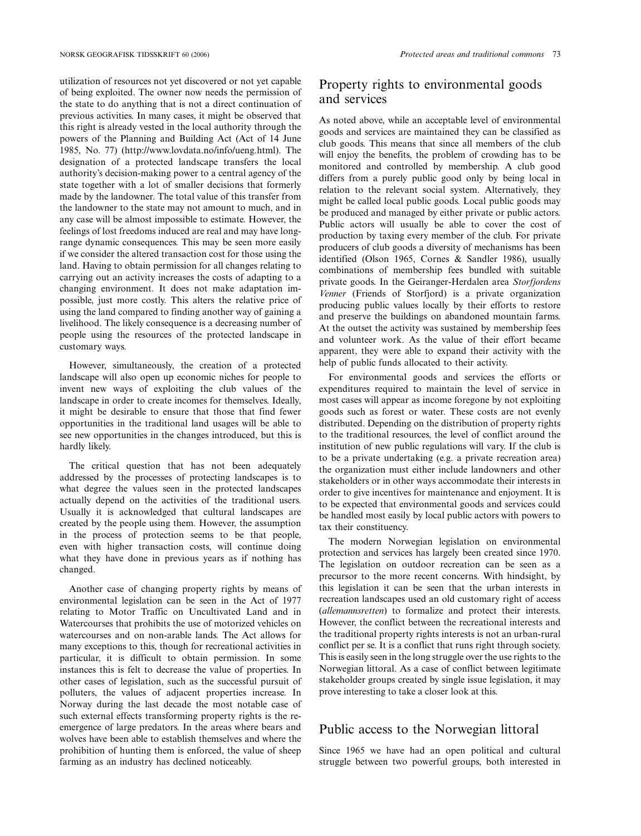utilization of resources not yet discovered or not yet capable of being exploited. The owner now needs the permission of the state to do anything that is not a direct continuation of previous activities. In many cases, it might be observed that this right is already vested in the local authority through the powers of the Planning and Building Act (Act of 14 June 1985, No. 77) (http://www.lovdata.no/info/ueng.html). The designation of a protected landscape transfers the local authority's decision-making power to a central agency of the state together with a lot of smaller decisions that formerly made by the landowner. The total value of this transfer from the landowner to the state may not amount to much, and in any case will be almost impossible to estimate. However, the feelings of lost freedoms induced are real and may have longrange dynamic consequences. This may be seen more easily if we consider the altered transaction cost for those using the land. Having to obtain permission for all changes relating to carrying out an activity increases the costs of adapting to a changing environment. It does not make adaptation impossible, just more costly. This alters the relative price of using the land compared to finding another way of gaining a livelihood. The likely consequence is a decreasing number of people using the resources of the protected landscape in customary ways.

However, simultaneously, the creation of a protected landscape will also open up economic niches for people to invent new ways of exploiting the club values of the landscape in order to create incomes for themselves. Ideally, it might be desirable to ensure that those that find fewer opportunities in the traditional land usages will be able to see new opportunities in the changes introduced, but this is hardly likely.

The critical question that has not been adequately addressed by the processes of protecting landscapes is to what degree the values seen in the protected landscapes actually depend on the activities of the traditional users. Usually it is acknowledged that cultural landscapes are created by the people using them. However, the assumption in the process of protection seems to be that people, even with higher transaction costs, will continue doing what they have done in previous years as if nothing has changed.

Another case of changing property rights by means of environmental legislation can be seen in the Act of 1977 relating to Motor Traffic on Uncultivated Land and in Watercourses that prohibits the use of motorized vehicles on watercourses and on non-arable lands. The Act allows for many exceptions to this, though for recreational activities in particular, it is difficult to obtain permission. In some instances this is felt to decrease the value of properties. In other cases of legislation, such as the successful pursuit of polluters, the values of adjacent properties increase. In Norway during the last decade the most notable case of such external effects transforming property rights is the reemergence of large predators. In the areas where bears and wolves have been able to establish themselves and where the prohibition of hunting them is enforced, the value of sheep farming as an industry has declined noticeably.

### Property rights to environmental goods and services

As noted above, while an acceptable level of environmental goods and services are maintained they can be classified as club goods. This means that since all members of the club will enjoy the benefits, the problem of crowding has to be monitored and controlled by membership. A club good differs from a purely public good only by being local in relation to the relevant social system. Alternatively, they might be called local public goods. Local public goods may be produced and managed by either private or public actors. Public actors will usually be able to cover the cost of production by taxing every member of the club. For private producers of club goods a diversity of mechanisms has been identified (Olson 1965, Cornes & Sandler 1986), usually combinations of membership fees bundled with suitable private goods. In the Geiranger-Herdalen area Storfjordens Venner (Friends of Storfjord) is a private organization producing public values locally by their efforts to restore and preserve the buildings on abandoned mountain farms. At the outset the activity was sustained by membership fees and volunteer work. As the value of their effort became apparent, they were able to expand their activity with the help of public funds allocated to their activity.

For environmental goods and services the efforts or expenditures required to maintain the level of service in most cases will appear as income foregone by not exploiting goods such as forest or water. These costs are not evenly distributed. Depending on the distribution of property rights to the traditional resources, the level of conflict around the institution of new public regulations will vary. If the club is to be a private undertaking (e.g. a private recreation area) the organization must either include landowners and other stakeholders or in other ways accommodate their interests in order to give incentives for maintenance and enjoyment. It is to be expected that environmental goods and services could be handled most easily by local public actors with powers to tax their constituency.

The modern Norwegian legislation on environmental protection and services has largely been created since 1970. The legislation on outdoor recreation can be seen as a precursor to the more recent concerns. With hindsight, by this legislation it can be seen that the urban interests in recreation landscapes used an old customary right of access (allemannsretten) to formalize and protect their interests. However, the conflict between the recreational interests and the traditional property rights interests is not an urban-rural conflict per se. It is a conflict that runs right through society. This is easily seen in the long struggle over the use rights to the Norwegian littoral. As a case of conflict between legitimate stakeholder groups created by single issue legislation, it may prove interesting to take a closer look at this.

### Public access to the Norwegian littoral

Since 1965 we have had an open political and cultural struggle between two powerful groups, both interested in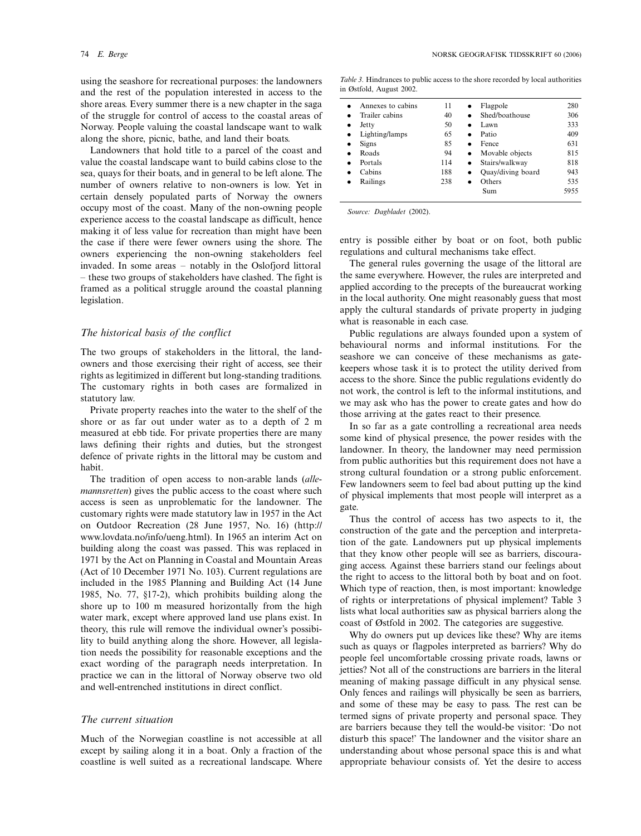using the seashore for recreational purposes: the landowners and the rest of the population interested in access to the shore areas. Every summer there is a new chapter in the saga of the struggle for control of access to the coastal areas of Norway. People valuing the coastal landscape want to walk along the shore, picnic, bathe, and land their boats.

Landowners that hold title to a parcel of the coast and value the coastal landscape want to build cabins close to the sea, quays for their boats, and in general to be left alone. The number of owners relative to non-owners is low. Yet in certain densely populated parts of Norway the owners occupy most of the coast. Many of the non-owning people experience access to the coastal landscape as difficult, hence making it of less value for recreation than might have been the case if there were fewer owners using the shore. The owners experiencing the non-owning stakeholders feel invaded. In some areas - notably in the Oslofjord littoral – these two groups of stakeholders have clashed. The fight is framed as a political struggle around the coastal planning legislation.

#### The historical basis of the conflict

The two groups of stakeholders in the littoral, the landowners and those exercising their right of access, see their rights as legitimized in different but long-standing traditions. The customary rights in both cases are formalized in statutory law.

Private property reaches into the water to the shelf of the shore or as far out under water as to a depth of 2 m measured at ebb tide. For private properties there are many laws defining their rights and duties, but the strongest defence of private rights in the littoral may be custom and habit.

The tradition of open access to non-arable lands (allemannsretten) gives the public access to the coast where such access is seen as unproblematic for the landowner. The customary rights were made statutory law in 1957 in the Act on Outdoor Recreation (28 June 1957, No. 16) (http:// www.lovdata.no/info/ueng.html). In 1965 an interim Act on building along the coast was passed. This was replaced in 1971 by the Act on Planning in Coastal and Mountain Areas (Act of 10 December 1971 No. 103). Current regulations are included in the 1985 Planning and Building Act (14 June 1985, No. 77, §17-2), which prohibits building along the shore up to 100 m measured horizontally from the high water mark, except where approved land use plans exist. In theory, this rule will remove the individual owner's possibility to build anything along the shore. However, all legislation needs the possibility for reasonable exceptions and the exact wording of the paragraph needs interpretation. In practice we can in the littoral of Norway observe two old and well-entrenched institutions in direct conflict.

#### The current situation

Much of the Norwegian coastline is not accessible at all except by sailing along it in a boat. Only a fraction of the coastline is well suited as a recreational landscape. Where

Table 3. Hindrances to public access to the shore recorded by local authorities in Østfold, August 2002.

| Annexes to cabins | 11  |           | Flagpole          | 280  |
|-------------------|-----|-----------|-------------------|------|
| Trailer cabins    | 40  |           | Shed/boathouse    | 306  |
| Jetty             | 50  |           | Lawn              | 333  |
| Lighting/lamps    | 65  |           | Patio             | 409  |
| <b>Signs</b>      | 85  |           | Fence             | 631  |
| Roads             | 94  |           | Movable objects   | 815  |
| Portals           | 114 |           | Stairs/walkway    | 818  |
| Cabins            | 188 |           | Quay/diving board | 943  |
| Railings          | 238 | $\bullet$ | Others            | 535  |
|                   |     |           | Sum               | 5955 |
|                   |     |           |                   |      |

Source: Dagbladet (2002).

entry is possible either by boat or on foot, both public regulations and cultural mechanisms take effect.

The general rules governing the usage of the littoral are the same everywhere. However, the rules are interpreted and applied according to the precepts of the bureaucrat working in the local authority. One might reasonably guess that most apply the cultural standards of private property in judging what is reasonable in each case.

Public regulations are always founded upon a system of behavioural norms and informal institutions. For the seashore we can conceive of these mechanisms as gatekeepers whose task it is to protect the utility derived from access to the shore. Since the public regulations evidently do not work, the control is left to the informal institutions, and we may ask who has the power to create gates and how do those arriving at the gates react to their presence.

In so far as a gate controlling a recreational area needs some kind of physical presence, the power resides with the landowner. In theory, the landowner may need permission from public authorities but this requirement does not have a strong cultural foundation or a strong public enforcement. Few landowners seem to feel bad about putting up the kind of physical implements that most people will interpret as a gate.

Thus the control of access has two aspects to it, the construction of the gate and the perception and interpretation of the gate. Landowners put up physical implements that they know other people will see as barriers, discouraging access. Against these barriers stand our feelings about the right to access to the littoral both by boat and on foot. Which type of reaction, then, is most important: knowledge of rights or interpretations of physical implement? Table 3 lists what local authorities saw as physical barriers along the coast of Østfold in 2002. The categories are suggestive.

Why do owners put up devices like these? Why are items such as quays or flagpoles interpreted as barriers? Why do people feel uncomfortable crossing private roads, lawns or jetties? Not all of the constructions are barriers in the literal meaning of making passage difficult in any physical sense. Only fences and railings will physically be seen as barriers, and some of these may be easy to pass. The rest can be termed signs of private property and personal space. They are barriers because they tell the would-be visitor: 'Do not disturb this space!' The landowner and the visitor share an understanding about whose personal space this is and what appropriate behaviour consists of. Yet the desire to access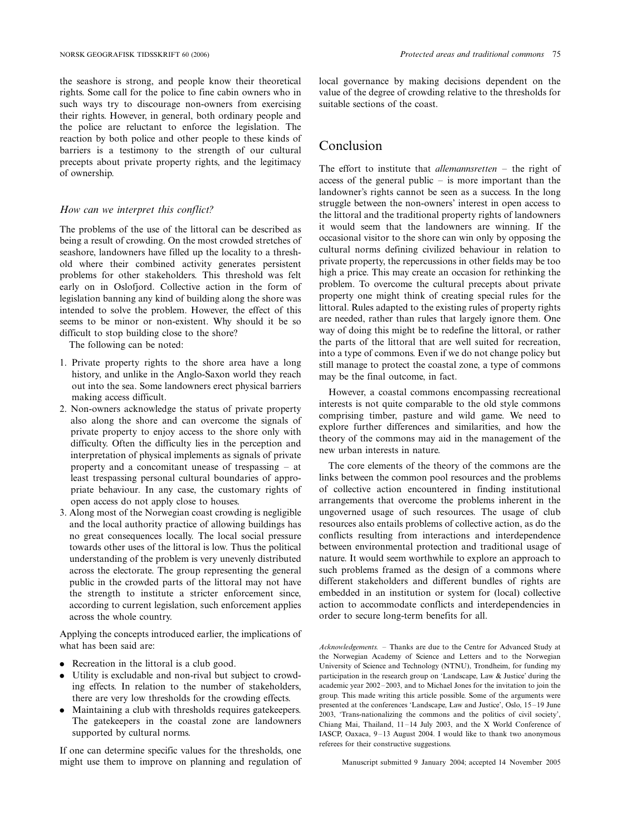the seashore is strong, and people know their theoretical rights. Some call for the police to fine cabin owners who in such ways try to discourage non-owners from exercising their rights. However, in general, both ordinary people and the police are reluctant to enforce the legislation. The reaction by both police and other people to these kinds of barriers is a testimony to the strength of our cultural precepts about private property rights, and the legitimacy of ownership.

#### How can we interpret this conflict?

The problems of the use of the littoral can be described as being a result of crowding. On the most crowded stretches of seashore, landowners have filled up the locality to a threshold where their combined activity generates persistent problems for other stakeholders. This threshold was felt early on in Oslofjord. Collective action in the form of legislation banning any kind of building along the shore was intended to solve the problem. However, the effect of this seems to be minor or non-existent. Why should it be so difficult to stop building close to the shore?

The following can be noted:

- 1. Private property rights to the shore area have a long history, and unlike in the Anglo-Saxon world they reach out into the sea. Some landowners erect physical barriers making access difficult.
- 2. Non-owners acknowledge the status of private property also along the shore and can overcome the signals of private property to enjoy access to the shore only with difficulty. Often the difficulty lies in the perception and interpretation of physical implements as signals of private property and a concomitant unease of trespassing  $-$  at least trespassing personal cultural boundaries of appropriate behaviour. In any case, the customary rights of open access do not apply close to houses.
- 3. Along most of the Norwegian coast crowding is negligible and the local authority practice of allowing buildings has no great consequences locally. The local social pressure towards other uses of the littoral is low. Thus the political understanding of the problem is very unevenly distributed across the electorate. The group representing the general public in the crowded parts of the littoral may not have the strength to institute a stricter enforcement since, according to current legislation, such enforcement applies across the whole country.

Applying the concepts introduced earlier, the implications of what has been said are:

- Recreation in the littoral is a club good.
- . Utility is excludable and non-rival but subject to crowding effects. In relation to the number of stakeholders, there are very low thresholds for the crowding effects.
- . Maintaining a club with thresholds requires gatekeepers. The gatekeepers in the coastal zone are landowners supported by cultural norms.

If one can determine specific values for the thresholds, one might use them to improve on planning and regulation of local governance by making decisions dependent on the value of the degree of crowding relative to the thresholds for suitable sections of the coast.

### Conclusion

The effort to institute that *allemannsretten*  $-$  the right of access of the general public  $-$  is more important than the landowner's rights cannot be seen as a success. In the long struggle between the non-owners' interest in open access to the littoral and the traditional property rights of landowners it would seem that the landowners are winning. If the occasional visitor to the shore can win only by opposing the cultural norms defining civilized behaviour in relation to private property, the repercussions in other fields may be too high a price. This may create an occasion for rethinking the problem. To overcome the cultural precepts about private property one might think of creating special rules for the littoral. Rules adapted to the existing rules of property rights are needed, rather than rules that largely ignore them. One way of doing this might be to redefine the littoral, or rather the parts of the littoral that are well suited for recreation, into a type of commons. Even if we do not change policy but still manage to protect the coastal zone, a type of commons may be the final outcome, in fact.

However, a coastal commons encompassing recreational interests is not quite comparable to the old style commons comprising timber, pasture and wild game. We need to explore further differences and similarities, and how the theory of the commons may aid in the management of the new urban interests in nature.

The core elements of the theory of the commons are the links between the common pool resources and the problems of collective action encountered in finding institutional arrangements that overcome the problems inherent in the ungoverned usage of such resources. The usage of club resources also entails problems of collective action, as do the conflicts resulting from interactions and interdependence between environmental protection and traditional usage of nature. It would seem worthwhile to explore an approach to such problems framed as the design of a commons where different stakeholders and different bundles of rights are embedded in an institution or system for (local) collective action to accommodate conflicts and interdependencies in order to secure long-term benefits for all.

Acknowledgements. - Thanks are due to the Centre for Advanced Study at the Norwegian Academy of Science and Letters and to the Norwegian University of Science and Technology (NTNU), Trondheim, for funding my participation in the research group on 'Landscape, Law & Justice' during the academic year  $2002 - 2003$ , and to Michael Jones for the invitation to join the group. This made writing this article possible. Some of the arguments were presented at the conferences 'Landscape, Law and Justice', Oslo, 15-19 June 2003, 'Trans-nationalizing the commons and the politics of civil society', Chiang Mai, Thailand,  $11-14$  July 2003, and the X World Conference of IASCP, Oaxaca, 9-13 August 2004. I would like to thank two anonymous referees for their constructive suggestions.

Manuscript submitted 9 January 2004; accepted 14 November 2005